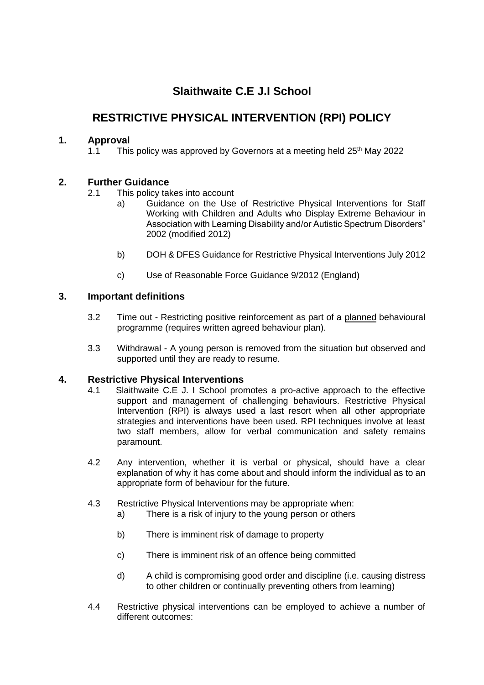# **Slaithwaite C.E J.I School**

# **RESTRICTIVE PHYSICAL INTERVENTION (RPI) POLICY**

# **1. Approval**

1.1 This policy was approved by Governors at a meeting held  $25<sup>th</sup>$  May 2022

# **2. Further Guidance**

- 2.1 This policy takes into account
	- a) Guidance on the Use of Restrictive Physical Interventions for Staff Working with Children and Adults who Display Extreme Behaviour in Association with Learning Disability and/or Autistic Spectrum Disorders" 2002 (modified 2012)
	- b) DOH & DFES Guidance for Restrictive Physical Interventions July 2012
	- c) Use of Reasonable Force Guidance 9/2012 (England)

## **3. Important definitions**

- 3.2 Time out Restricting positive reinforcement as part of a planned behavioural programme (requires written agreed behaviour plan).
- 3.3 Withdrawal A young person is removed from the situation but observed and supported until they are ready to resume.

## **4. Restrictive Physical Interventions**

- 4.1 Slaithwaite C.E J. I School promotes a pro-active approach to the effective support and management of challenging behaviours. Restrictive Physical Intervention (RPI) is always used a last resort when all other appropriate strategies and interventions have been used. RPI techniques involve at least two staff members, allow for verbal communication and safety remains paramount.
- 4.2 Any intervention, whether it is verbal or physical, should have a clear explanation of why it has come about and should inform the individual as to an appropriate form of behaviour for the future.
- 4.3 Restrictive Physical Interventions may be appropriate when:
	- a) There is a risk of injury to the young person or others
	- b) There is imminent risk of damage to property
	- c) There is imminent risk of an offence being committed
	- d) A child is compromising good order and discipline (i.e. causing distress to other children or continually preventing others from learning)
- 4.4 Restrictive physical interventions can be employed to achieve a number of different outcomes: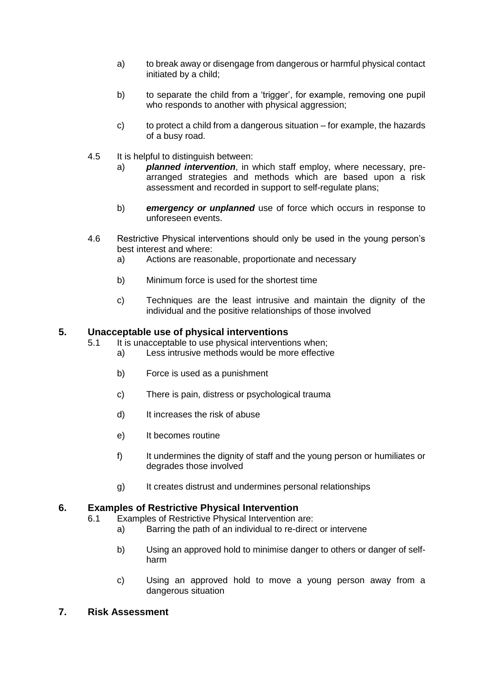- a) to break away or disengage from dangerous or harmful physical contact initiated by a child;
- b) to separate the child from a 'trigger', for example, removing one pupil who responds to another with physical aggression:
- c) to protect a child from a dangerous situation for example, the hazards of a busy road.
- 4.5 It is helpful to distinguish between:
	- a) *planned intervention*, in which staff employ, where necessary, prearranged strategies and methods which are based upon a risk assessment and recorded in support to self-regulate plans;
	- b) *emergency or unplanned* use of force which occurs in response to unforeseen events.
- 4.6 Restrictive Physical interventions should only be used in the young person's best interest and where:
	- a) Actions are reasonable, proportionate and necessary
	- b) Minimum force is used for the shortest time
	- c) Techniques are the least intrusive and maintain the dignity of the individual and the positive relationships of those involved

#### **5. Unacceptable use of physical interventions**

- 5.1 It is unacceptable to use physical interventions when;
	- a) Less intrusive methods would be more effective
	- b) Force is used as a punishment
	- c) There is pain, distress or psychological trauma
	- d) It increases the risk of abuse
	- e) It becomes routine
	- f) It undermines the dignity of staff and the young person or humiliates or degrades those involved
	- g) It creates distrust and undermines personal relationships

#### **6. Examples of Restrictive Physical Intervention**

- 6.1 Examples of Restrictive Physical Intervention are:
	- a) Barring the path of an individual to re-direct or intervene
	- b) Using an approved hold to minimise danger to others or danger of selfharm
	- c) Using an approved hold to move a young person away from a dangerous situation

## **7. Risk Assessment**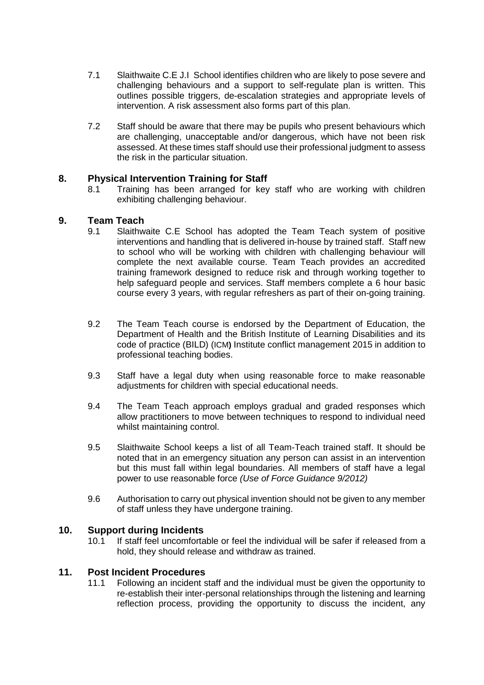- 7.1 Slaithwaite C.E J.I School identifies children who are likely to pose severe and challenging behaviours and a support to self-regulate plan is written. This outlines possible triggers, de-escalation strategies and appropriate levels of intervention. A risk assessment also forms part of this plan.
- 7.2 Staff should be aware that there may be pupils who present behaviours which are challenging, unacceptable and/or dangerous, which have not been risk assessed. At these times staff should use their professional judgment to assess the risk in the particular situation.

## **8. Physical Intervention Training for Staff**

8.1 Training has been arranged for key staff who are working with children exhibiting challenging behaviour.

### **9. Team Teach**

- 9.1 Slaithwaite C.E School has adopted the Team Teach system of positive interventions and handling that is delivered in-house by trained staff. Staff new to school who will be working with children with challenging behaviour will complete the next available course. Team Teach provides an accredited training framework designed to reduce risk and through working together to help safeguard people and services. Staff members complete a 6 hour basic course every 3 years, with regular refreshers as part of their on-going training.
- 9.2 The Team Teach course is endorsed by the Department of Education, the Department of Health and the British Institute of Learning Disabilities and its code of practice (BILD) (ICM**)** Institute conflict management 2015 in addition to professional teaching bodies.
- 9.3 Staff have a legal duty when using reasonable force to make reasonable adjustments for children with special educational needs.
- 9.4 The Team Teach approach employs gradual and graded responses which allow practitioners to move between techniques to respond to individual need whilst maintaining control.
- 9.5 Slaithwaite School keeps a list of all Team-Teach trained staff. It should be noted that in an emergency situation any person can assist in an intervention but this must fall within legal boundaries. All members of staff have a legal power to use reasonable force *(Use of Force Guidance 9/2012)*
- 9.6 Authorisation to carry out physical invention should not be given to any member of staff unless they have undergone training.

### **10. Support during Incidents**

10.1 If staff feel uncomfortable or feel the individual will be safer if released from a hold, they should release and withdraw as trained.

#### **11. Post Incident Procedures**

11.1 Following an incident staff and the individual must be given the opportunity to re-establish their inter-personal relationships through the listening and learning reflection process, providing the opportunity to discuss the incident, any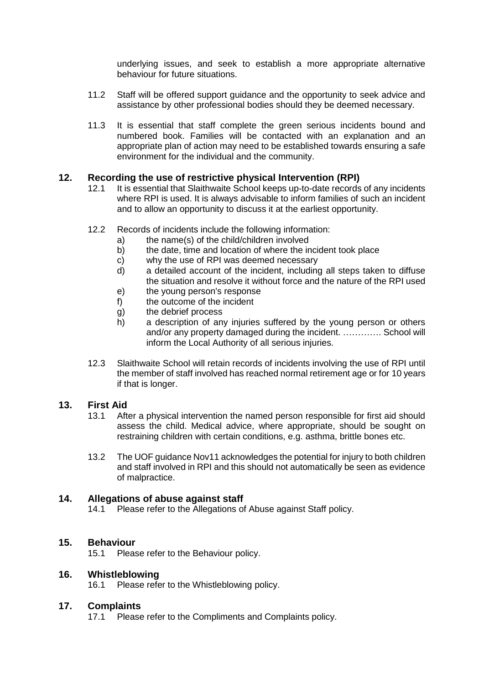underlying issues, and seek to establish a more appropriate alternative behaviour for future situations.

- 11.2 Staff will be offered support guidance and the opportunity to seek advice and assistance by other professional bodies should they be deemed necessary.
- 11.3 It is essential that staff complete the green serious incidents bound and numbered book. Families will be contacted with an explanation and an appropriate plan of action may need to be established towards ensuring a safe environment for the individual and the community.

## **12. Recording the use of restrictive physical Intervention (RPI)**

- 12.1 It is essential that Slaithwaite School keeps up-to-date records of any incidents where RPI is used. It is always advisable to inform families of such an incident and to allow an opportunity to discuss it at the earliest opportunity.
- 12.2 Records of incidents include the following information:
	- a) the name(s) of the child/children involved
	- b) the date, time and location of where the incident took place
	- c) why the use of RPI was deemed necessary
	- d) a detailed account of the incident, including all steps taken to diffuse the situation and resolve it without force and the nature of the RPI used
	- e) the young person's response
	- f) the outcome of the incident
	- g) the debrief process
	- h) a description of any injuries suffered by the young person or others and/or any property damaged during the incident. …………. School will inform the Local Authority of all serious injuries.
- 12.3 Slaithwaite School will retain records of incidents involving the use of RPI until the member of staff involved has reached normal retirement age or for 10 years if that is longer.

### **13. First Aid**

- 13.1 After a physical intervention the named person responsible for first aid should assess the child. Medical advice, where appropriate, should be sought on restraining children with certain conditions, e.g. asthma, brittle bones etc.
- 13.2 The UOF guidance Nov11 acknowledges the potential for injury to both children and staff involved in RPI and this should not automatically be seen as evidence of malpractice.

## **14. Allegations of abuse against staff**

14.1 Please refer to the Allegations of Abuse against Staff policy.

## **15. Behaviour**

15.1 Please refer to the Behaviour policy.

### **16. Whistleblowing**

16.1 Please refer to the Whistleblowing policy.

### **17. Complaints**

17.1 Please refer to the Compliments and Complaints policy.